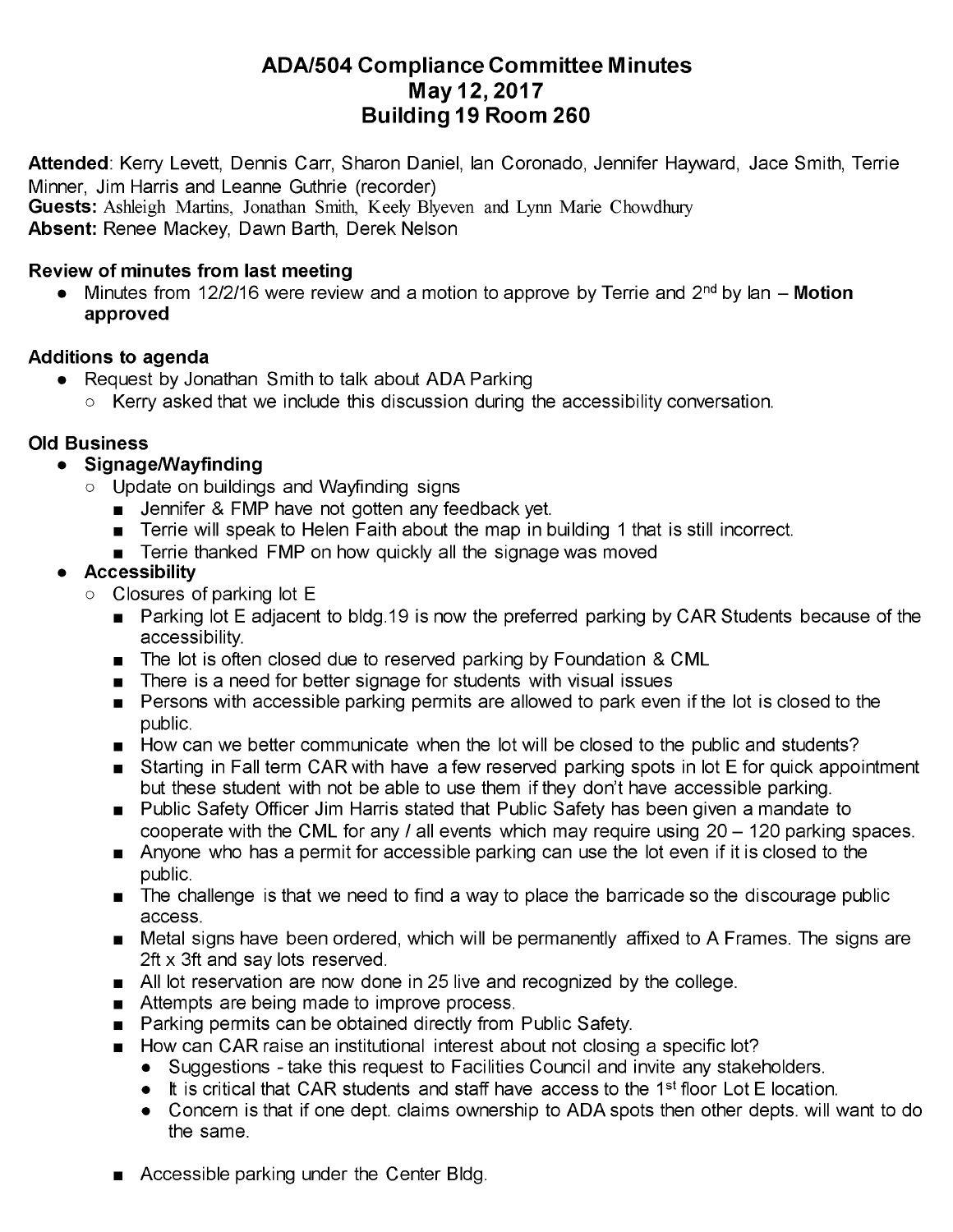# **ADA/504 Compliance Committee Minutes May 12, 2017 Building 19 Room 260**

**Attended**: Kerry Levett, Dennis Carr, Sharon Daniel, Ian Coronado, Jennifer Hayward, Jace Smith, Terrie Minner, Jim Harris and Leanne Guthrie (recorder)

**Guests:** Ashleigh Martins, Jonathan Smith, Keely Blyeven and Lynn Marie Chowdhury

**Absent:** Renee Mackey, Dawn Barth, Derek Nelson

## **Review of minutes from last meeting**

Minutes from 12/2/16 were review and a motion to approve by Terrie and 2<sup>nd</sup> by Ian – Motion  $\bullet$ **approved**

### **Additions to agenda**

- Request by Jonathan Smith to talk about ADA Parking  $\bullet$ 
	- Kerry asked that we include this discussion during the accessibility conversation.

### **Old Business**

#### **Signage/Wayfinding**  $\bullet$

- o Update on buildings and Wayfinding signs
	- **Jennifer & FMP have not gotten any feedback yet.**
	- **Terrie will speak to Helen Faith about the map in building 1 that is still incorrect.**
	- **Terrie thanked FMP on how quickly all the signage was moved**

## **Accessibility**

- Closures of parking lot E
	- Parking lot E adjacent to bldg.19 is now the preferred parking by CAR Students because of the accessibility.
	- The lot is often closed due to reserved parking by Foundation & CML
	- There is a need for better signage for students with visual issues
	- **Persons with accessible parking permits are allowed to park even if the lot is closed to the** public.
	- How can we better communicate when the lot will be closed to the public and students?
	- **Starting in Fall term CAR with have a few reserved parking spots in lot E for quick appointment** but these student with not be able to use them if they don't have accessible parking.
	- **Public Safety Officer Jim Harris stated that Public Safety has been given a mandate to** cooperate with the CML for any  $\ell$  all events which may require using  $20 - 120$  parking spaces.
	- Anyone who has a permit for accessible parking can use the lot even if it is closed to the public.
	- The challenge is that we need to find a way to place the barricade so the discourage public access.
	- Metal signs have been ordered, which will be permanently affixed to A Frames. The signs are 2ft x 3ft and say lots reserved.
	- All lot reservation are now done in 25 live and recognized by the college.
	- Attempts are being made to improve process.
	- **Parking permits can be obtained directly from Public Safety.**
	- How can CAR raise an institutional interest about not closing a specific lot?
		- Suggestions take this request to Facilities Council and invite any stakeholders.
		- It is critical that CAR students and staff have access to the 1<sup>st</sup> floor Lot E location.
		- Concern is that if one dept. claims ownership to ADA spots then other depts. will want to do the same.
	- **Accessible parking under the Center Bldg.**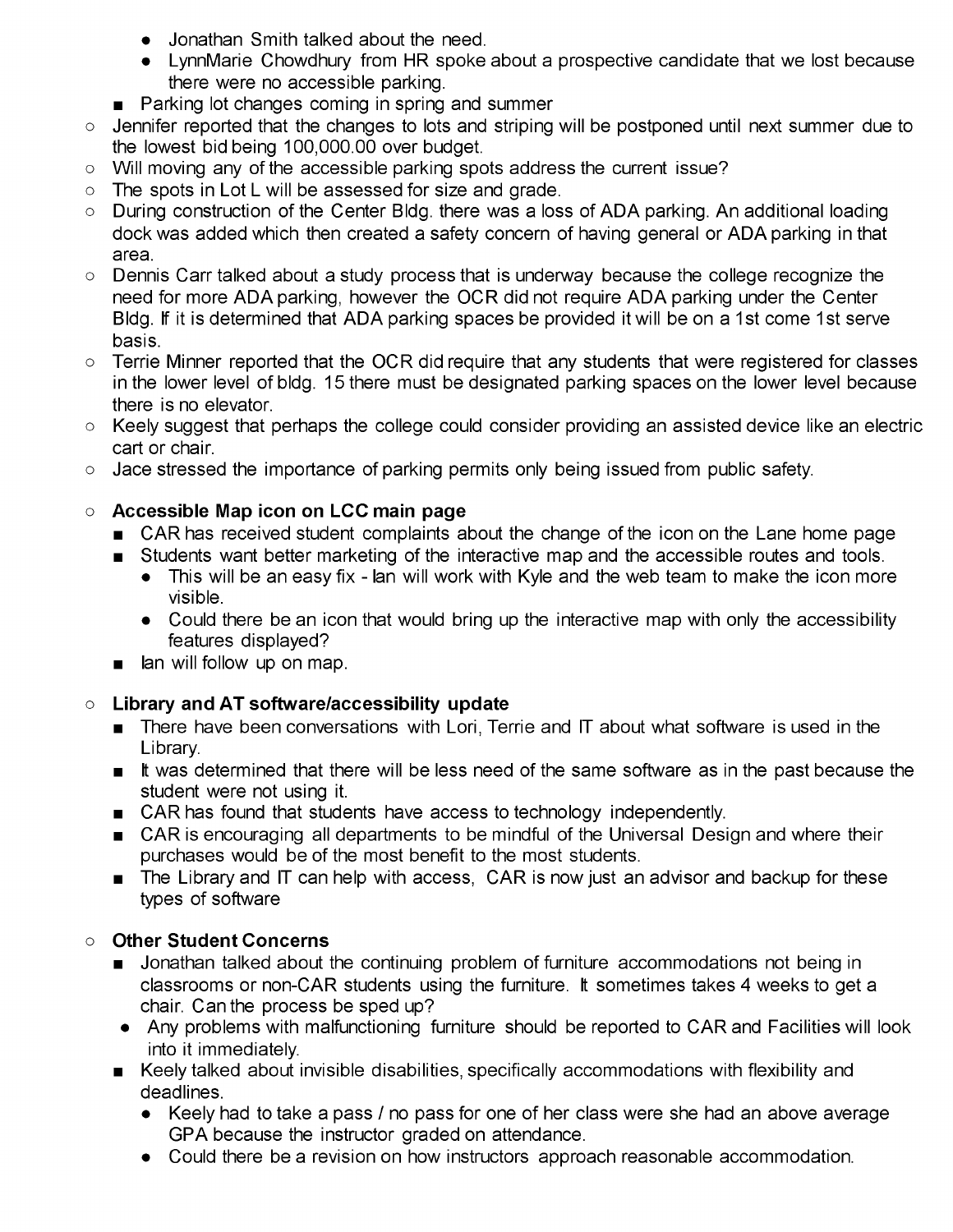- Jonathan Smith talked about the need.
- LynnMarie Chowdhury from HR spoke about a prospective candidate that we lost because there were no accessible parking.
- **Parking lot changes coming in spring and summer**
- Jennifer reported that the changes to lots and striping will be postponed until next summer due to  $\Omega$ the lowest bid being 100,000.00 over budget.
- Will moving any of the accessible parking spots address the current issue?  $\cap$
- The spots in Lot L will be assessed for size and grade.  $\Omega$
- During construction of the Center Bldg. there was a loss of ADA parking. An additional loading dock was added which then created a safety concern of having general or ADA parking in that area.
- Dennis Carr talked about a study process that is underway because the college recognize the need for more ADA parking, however the OCR did not require ADA parking under the Center Bldg. If it is determined that ADA parking spaces be provided it will be on a 1st come 1st serve basis.
- Terrie Minner reported that the OCR did require that any students that were registered for classes  $\circ$ in the lower level of bldg. 15 there must be designated parking spaces on the lower level because there is no elevator.
- $\circ$  Keely suggest that perhaps the college could consider providing an assisted device like an electric cart or chair.
- Jace stressed the importance of parking permits only being issued from public safety.  $\circ$

#### **Accessible Map icon on LCC main page**  $\circ$

- CAR has received student complaints about the change of the icon on the Lane home page
- Students want better marketing of the interactive map and the accessible routes and tools.
	- This will be an easy fix Ian will work with Kyle and the web team to make the icon more visible.
	- Could there be an icon that would bring up the interactive map with only the accessibility features displayed?
- lan will follow up on map.

#### **Library and AT software/accessibility update**  $\circ$

- **There have been conversations with Lori, Terrie and IT about what software is used in the** Library.
- $\blacksquare$  It was determined that there will be less need of the same software as in the past because the student were not using it.
- **EXALLET AS CAR has found that students have access to technology independently.**
- CAR is encouraging all departments to be mindful of the Universal Design and where their purchases would be of the most benefit to the most students.
- $\blacksquare$  The Library and IT can help with access, CAR is now just an advisor and backup for these types of software

## **Other Student Concerns**

- **Demonmomentally areas in the state of the state of the controller** accommodations not being in classrooms or non-CAR students using the furniture. It sometimes takes 4 weeks to get a chair. Can the process be sped up?
- Any problems with malfunctioning furniture should be reported to CAR and Facilities will look into it immediately.
- Keely talked about invisible disabilities, specifically accommodations with flexibility and deadlines.
	- Keely had to take a pass / no pass for one of her class were she had an above average GPA because the instructor graded on attendance.
	- Could there be a revision on how instructors approach reasonable accommodation.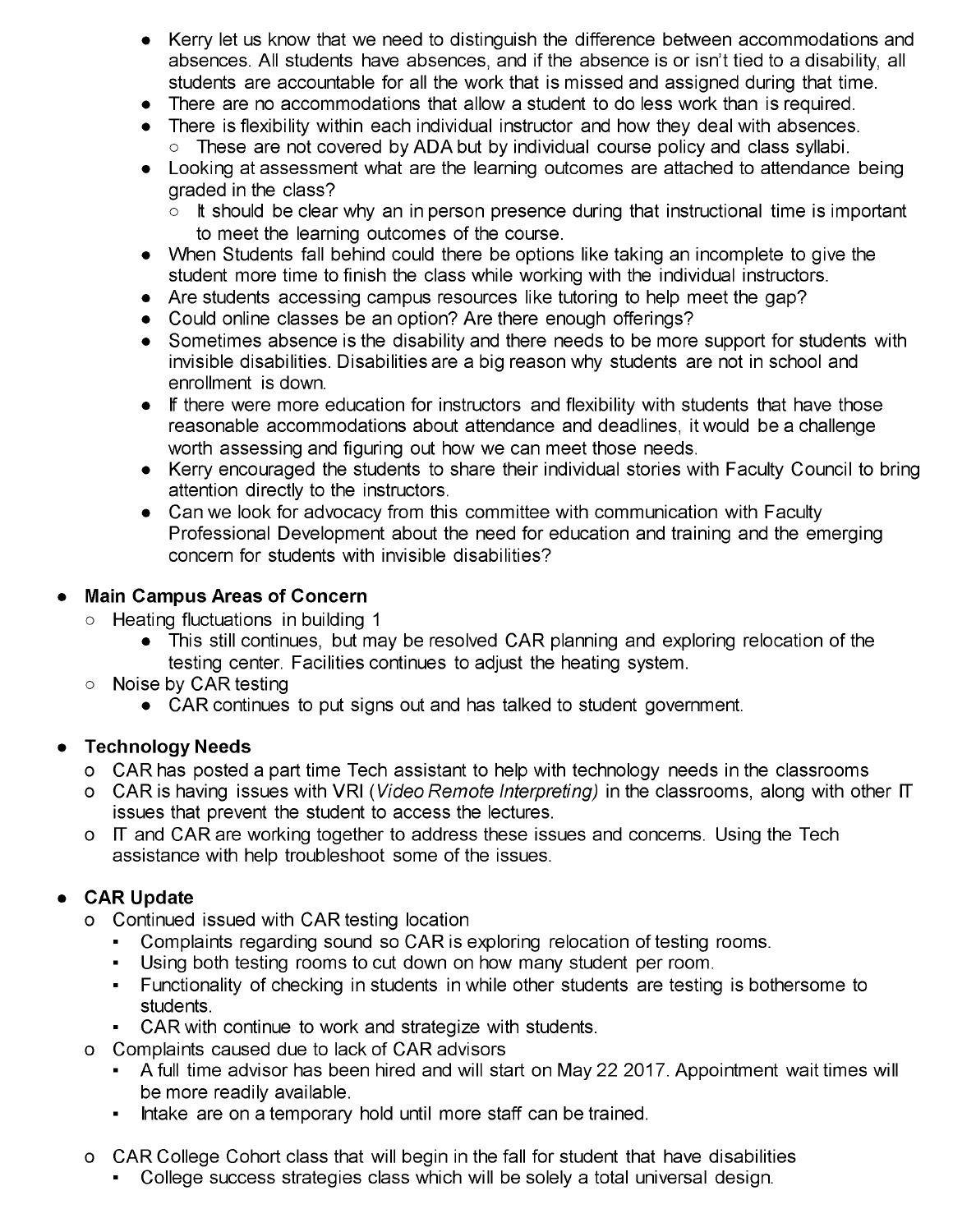- Kerry let us know that we need to distinguish the difference between accommodations and absences. All students have absences, and if the absence is or isn't tied to a disability, all students are accountable for all the work that is missed and assigned during that time.
- There are no accommodations that allow a student to do less work than is required.
- There is flexibility within each individual instructor and how they deal with absences. o These are not covered by ADA but by individual course policy and class syllabi.
- Looking at assessment what are the learning outcomes are attached to attendance being graded in the class?
	- $\circ$  It should be clear why an in person presence during that instructional time is important to meet the learning outcomes of the course.
- When Students fall behind could there be options like taking an incomplete to give the student more time to finish the class while working with the individual instructors.
- Are students accessing campus resources like tutoring to help meet the gap?
- Could online classes be an option? Are there enough offerings?
- Sometimes absence is the disability and there needs to be more support for students with invisible disabilities. Disabilities are a big reason why students are not in school and enrollment is down.
- If there were more education for instructors and flexibility with students that have those reasonable accommodations about attendance and deadlines, it would be a challenge worth assessing and figuring out how we can meet those needs.
- Kerry encouraged the students to share their individual stories with Faculty Council to bring attention directly to the instructors.
- Can we look for advocacy from this committee with communication with Faculty Professional Development about the need for education and training and the emerging concern for students with invisible disabilities?

## **Main Campus Areas of Concern**

- Heating fluctuations in building <sup>1</sup>  $\circ$ 
	- This still continues, but may be resolved CAR planning and exploring relocation of the testing center. Facilities continues to adjust the heating system.
- Noise by CAR testing  $\circ$ 
	- CAR continues to put signs out and has talked to student government.

## **Technology Needs**

- CAR has posted a part time Tech assistant to help with technology needs in the classrooms
- o CAR is having issues with VRI *(Video Remote Interpreting)* in the classrooms, along with other IT issues that prevent the student to access the lectures.
- o IT and CAR are working together to address these issues and concerns. Using the Tech assistance with help troubleshoot some of the issues.

#### **CAR Update**  $\bullet$

- Continued issued with CAR testing location
	- Complaints regarding sound so CAR is exploring relocation of testing rooms.
	- Using both testing rooms to cut down on how many student per room.
	- Functionality of checking in students in while other students are testing is bothersome to students.
	- CAR with continue to work and strategize with students.
- Complaints caused due to lack of CAR advisors  $\Omega$ 
	- A full time advisor has been hired and will start on May 22 2017. Appointment wait times will be more readily available.
	- Intake are on a temporary hold until more staff can be trained.
- CAR College Cohort class that will begin in the fall for student that have disabilities  $\circ$ 
	- College success strategies class which will be solely a total universal design.